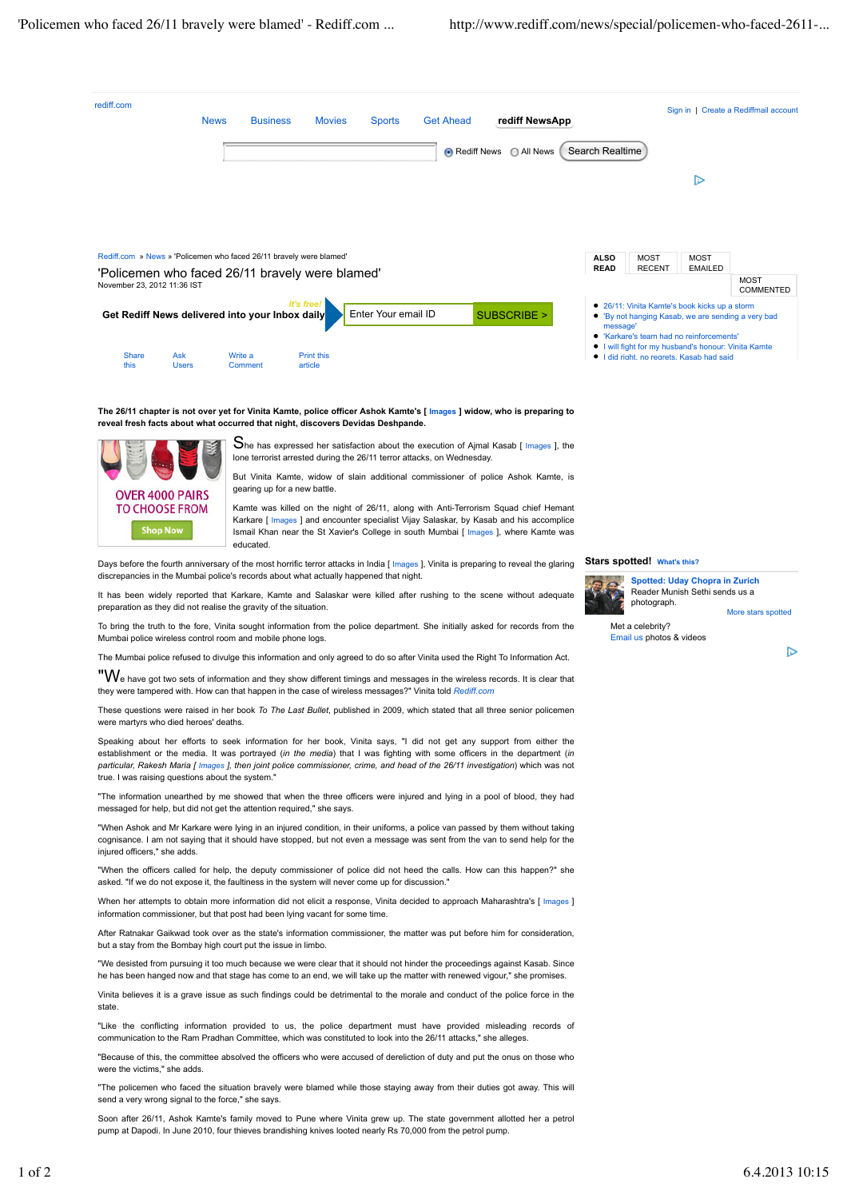| rediff.com | <b>News</b>                                                                    | <b>Business</b>    | <b>Movies</b>                | <b>Sports</b>       | <b>Get Ahead</b> | rediff NewsApp |                 |               | Sign in                                                                                                                                                                                               | Create a Rediffmail account |
|------------|--------------------------------------------------------------------------------|--------------------|------------------------------|---------------------|------------------|----------------|-----------------|---------------|-------------------------------------------------------------------------------------------------------------------------------------------------------------------------------------------------------|-----------------------------|
|            |                                                                                |                    |                              |                     | Rediff News      | All News       | Search Realtime |               |                                                                                                                                                                                                       |                             |
|            |                                                                                |                    |                              |                     |                  |                |                 |               | .D>                                                                                                                                                                                                   |                             |
|            |                                                                                |                    |                              |                     |                  |                |                 |               |                                                                                                                                                                                                       |                             |
|            | Rediff.com » News » 'Policemen who faced 26/11 bravely were blamed'            |                    |                              |                     |                  |                | <b>ALSO</b>     | <b>MOST</b>   | <b>MOST</b>                                                                                                                                                                                           |                             |
|            | 'Policemen who faced 26/11 bravely were blamed'<br>November 23, 2012 11:36 IST |                    |                              |                     |                  |                | <b>READ</b>     | <b>RECENT</b> | <b>EMAILED</b>                                                                                                                                                                                        | <b>MOST</b><br>COMMENTED    |
|            | Get Rediff News delivered into your Inbox daily                                |                    | It's free!                   | Enter Your email ID |                  | SUBSCRIBE >    | message'        |               | • 26/11: Vinita Kamte's book kicks up a storm<br>• 'By not hanging Kasab, we are sending a very bad<br>● 'Karkare's team had no reinforcements'<br>I will fight for my husband's honour: Vinita Kamte |                             |
|            | Share<br>Ask<br>this<br><b>Users</b>                                           | Write a<br>Comment | <b>Print this</b><br>article |                     |                  |                |                 |               | I did right, no regrets, Kasab had said                                                                                                                                                               |                             |

**The 26/11 chapter is not over yet for Vinita Kamte, police officer Ashok Kamte's [ Images ] widow, who is preparing to reveal fresh facts about what occurred that night, discovers Devidas Deshpande.**



She has expressed her satisfaction about the execution of Ajmal Kasab [ Images ], the lone terrorist arrested during the 26/11 terror attacks, on Wednesday.

But Vinita Kamte, widow of slain additional commissioner of police Ashok Kamte, is gearing up for a new battle.

Kamte was killed on the night of 26/11, along with Anti-Terrorism Squad chief Hemant Karkare [ Images ] and encounter specialist Vijay Salaskar, by Kasab and his accomplice Ismail Khan near the St Xavier's College in south Mumbai [ Images ], where Kamte was educated.

Days before the fourth anniversary of the most horrific terror attacks in India [ Images ], Vinita is preparing to reveal the glaring discrepancies in the Mumbai police's records about what actually happened that night.

It has been widely reported that Karkare, Kamte and Salaskar were killed after rushing to the scene without adequate preparation as they did not realise the gravity of the situation.

To bring the truth to the fore, Vinita sought information from the police department. She initially asked for records from the Mumbai police wireless control room and mobile phone logs.

The Mumbai police refused to divulge this information and only agreed to do so after Vinita used the Right To Information Act.

"We have got two sets of information and they show different timings and messages in the wireless records. It is clear that they were tampered with. How can that happen in the case of wireless messages?" Vinita told *Rediff.com*

These questions were raised in her book *To The Last Bullet*, published in 2009, which stated that all three senior policemen were martyrs who died heroes' deaths.

Speaking about her efforts to seek information for her book, Vinita says, "I did not get any support from either the establishment or the media. It was portrayed (*in the media*) that I was fighting with some officers in the department (*in particular, Rakesh Maria [ Images ], then joint police commissioner, crime, and head of the 26/11 investigation*) which was not true. I was raising questions about the system."

"The information unearthed by me showed that when the three officers were injured and lying in a pool of blood, they had messaged for help, but did not get the attention required." she says.

"When Ashok and Mr Karkare were lying in an injured condition, in their uniforms, a police van passed by them without taking cognisance. I am not saying that it should have stopped, but not even a message was sent from the van to send help for the injured officers," she adds.

"When the officers called for help, the deputy commissioner of police did not heed the calls. How can this happen?" she asked. "If we do not expose it, the faultiness in the system will never come up for discussion."

When her attempts to obtain more information did not elicit a response. Vinita decided to approach Maharashtra's [ Images ] information commissioner, but that post had been lying vacant for some time.

After Ratnakar Gaikwad took over as the state's information commissioner, the matter was put before him for consideration, but a stay from the Bombay high court put the issue in limbo.

"We desisted from pursuing it too much because we were clear that it should not hinder the proceedings against Kasab. Since he has been hanged now and that stage has come to an end, we will take up the matter with renewed vigour," she promises.

Vinita believes it is a grave issue as such findings could be detrimental to the morale and conduct of the police force in the state.

"Like the conflicting information provided to us, the police department must have provided misleading records of communication to the Ram Pradhan Committee, which was constituted to look into the 26/11 attacks," she alleges.

"Because of this, the committee absolved the officers who were accused of dereliction of duty and put the onus on those who were the victims," she adds.

"The policemen who faced the situation bravely were blamed while those staying away from their duties got away. This will send a very wrong signal to the force," she says.

Soon after 26/11, Ashok Kamte's family moved to Pune where Vinita grew up. The state government allotted her a petrol pump at Dapodi. In June 2010, four thieves brandishing knives looted nearly Rs 70,000 from the petrol pump.

## **Stars spotted! What's this?**



More stars spotted

Met a celebrity? Email us photos & videos